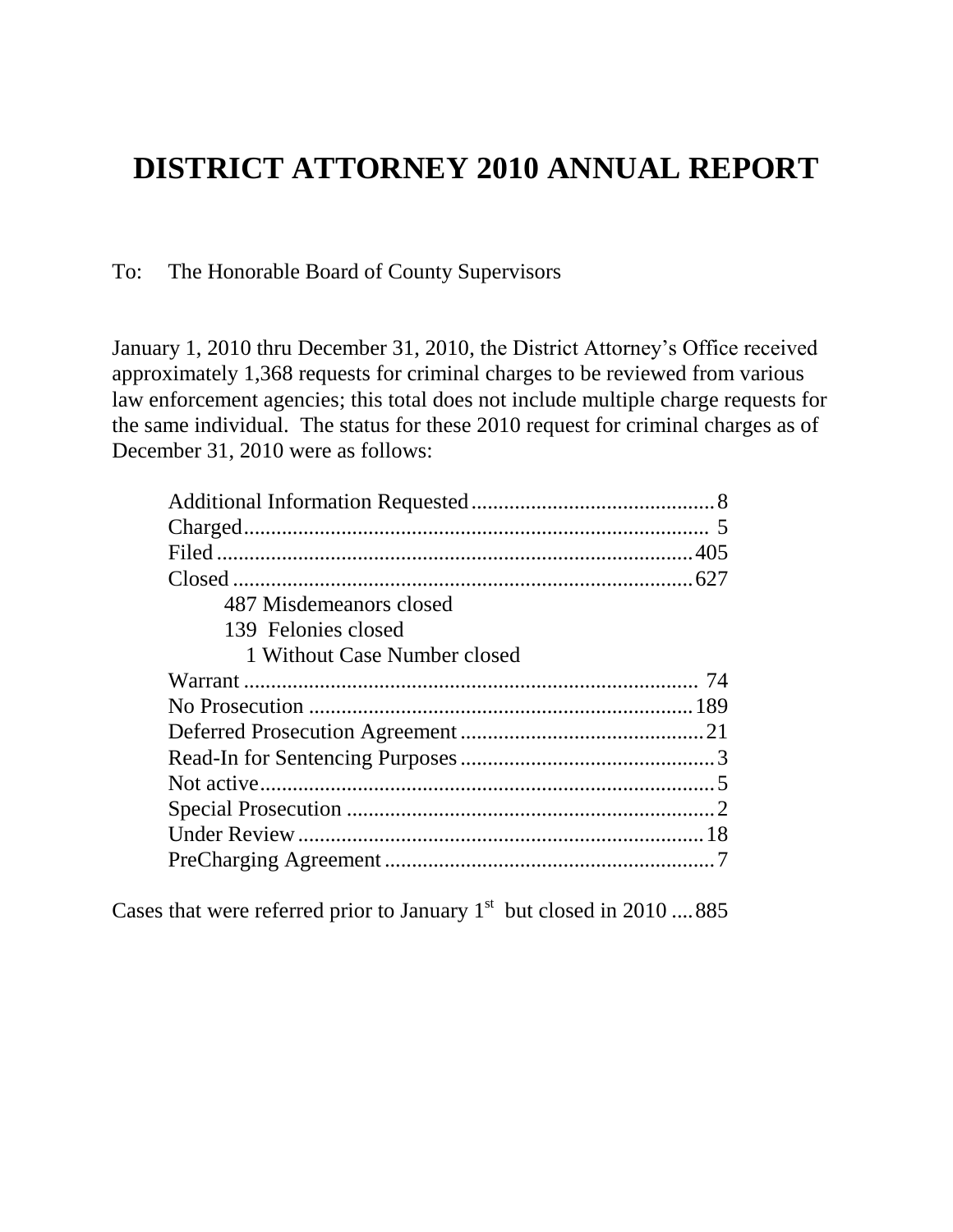## **DISTRICT ATTORNEY 2010 ANNUAL REPORT**

To: The Honorable Board of County Supervisors

January 1, 2010 thru December 31, 2010, the District Attorney's Office received approximately 1,368 requests for criminal charges to be reviewed from various law enforcement agencies; this total does not include multiple charge requests for the same individual. The status for these 2010 request for criminal charges as of December 31, 2010 were as follows:

| 487 Misdemeanors closed      |  |
|------------------------------|--|
| 139 Felonies closed          |  |
| 1 Without Case Number closed |  |
|                              |  |
|                              |  |
|                              |  |
|                              |  |
|                              |  |
|                              |  |
|                              |  |
|                              |  |

Cases that were referred prior to January  $1<sup>st</sup>$  but closed in 2010 ....885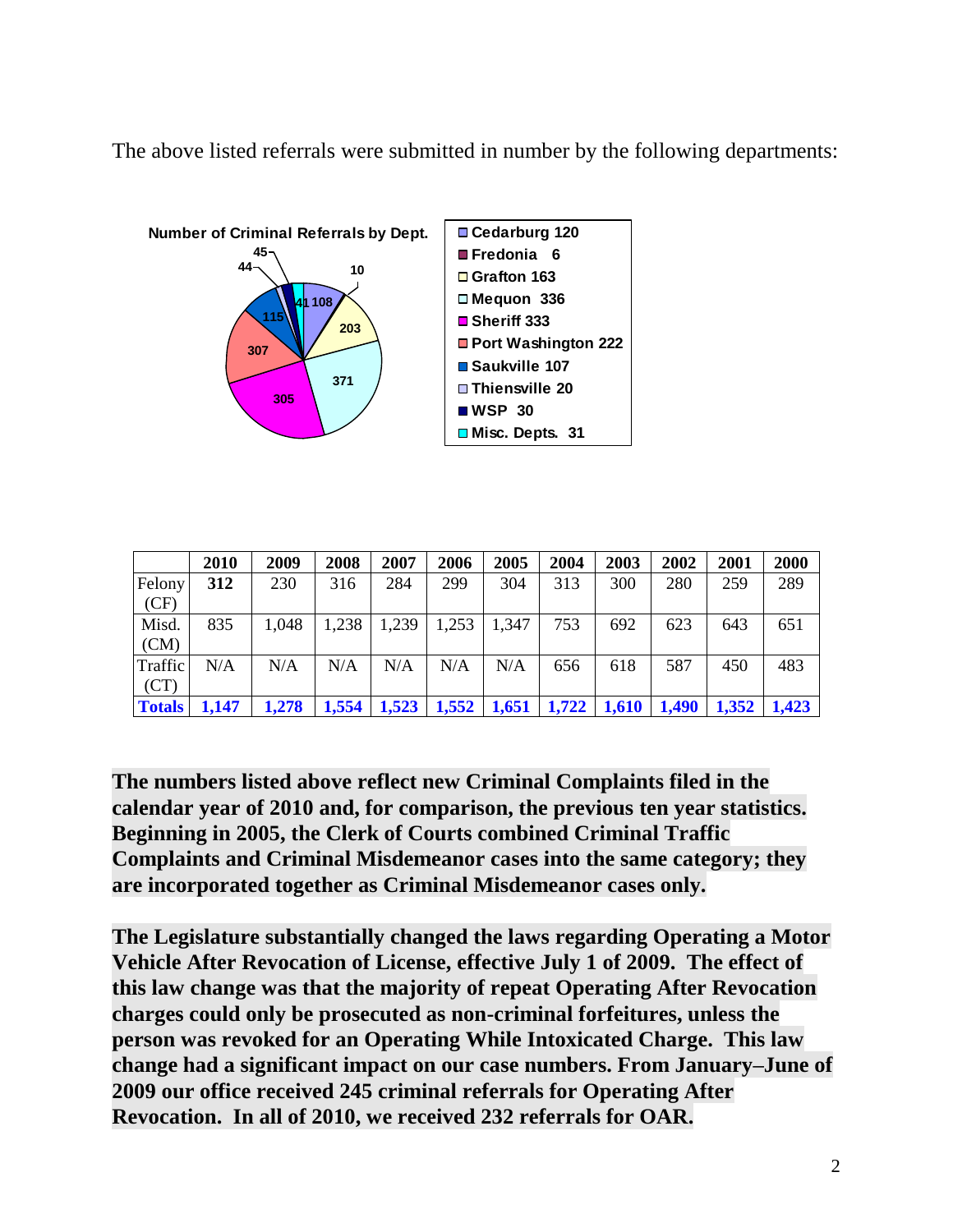The above listed referrals were submitted in number by the following departments:



|               | 2010  | 2009  | 2008  | 2007  | 2006  | 2005  | 2004  | 2003  | 2002  | 2001  | 2000  |
|---------------|-------|-------|-------|-------|-------|-------|-------|-------|-------|-------|-------|
| Felony        | 312   | 230   | 316   | 284   | 299   | 304   | 313   | 300   | 280   | 259   | 289   |
| (CF)          |       |       |       |       |       |       |       |       |       |       |       |
| Misd.         | 835   | 1,048 | 1,238 | 1,239 | 1,253 | 1,347 | 753   | 692   | 623   | 643   | 651   |
| (CM)          |       |       |       |       |       |       |       |       |       |       |       |
| Traffic       | N/A   | N/A   | N/A   | N/A   | N/A   | N/A   | 656   | 618   | 587   | 450   | 483   |
| (CT)          |       |       |       |       |       |       |       |       |       |       |       |
| <b>Totals</b> | 1,147 | 1,278 | 1,554 | 1,523 | 1,552 | 1,651 | 1,722 | 1,610 | 1,490 | 1,352 | 1,423 |

**The numbers listed above reflect new Criminal Complaints filed in the calendar year of 2010 and, for comparison, the previous ten year statistics. Beginning in 2005, the Clerk of Courts combined Criminal Traffic Complaints and Criminal Misdemeanor cases into the same category; they are incorporated together as Criminal Misdemeanor cases only.** 

**The Legislature substantially changed the laws regarding Operating a Motor Vehicle After Revocation of License, effective July 1 of 2009. The effect of this law change was that the majority of repeat Operating After Revocation charges could only be prosecuted as non-criminal forfeitures, unless the person was revoked for an Operating While Intoxicated Charge. This law change had a significant impact on our case numbers. From January–June of 2009 our office received 245 criminal referrals for Operating After Revocation. In all of 2010, we received 232 referrals for OAR.**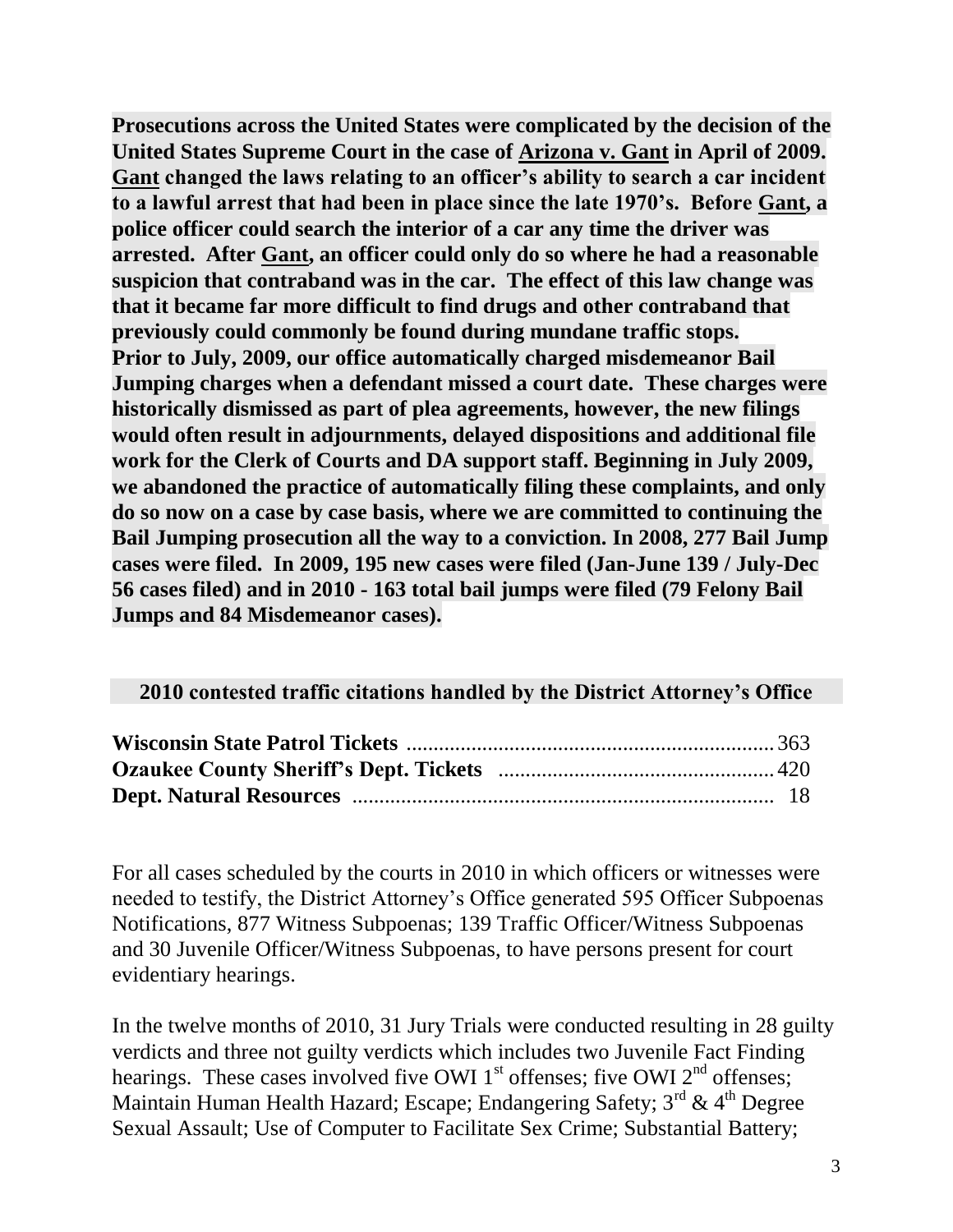**Prosecutions across the United States were complicated by the decision of the United States Supreme Court in the case of Arizona v. Gant in April of 2009. Gant changed the laws relating to an officer's ability to search a car incident to a lawful arrest that had been in place since the late 1970's. Before Gant, a police officer could search the interior of a car any time the driver was arrested. After Gant, an officer could only do so where he had a reasonable suspicion that contraband was in the car. The effect of this law change was that it became far more difficult to find drugs and other contraband that previously could commonly be found during mundane traffic stops. Prior to July, 2009, our office automatically charged misdemeanor Bail Jumping charges when a defendant missed a court date. These charges were historically dismissed as part of plea agreements, however, the new filings would often result in adjournments, delayed dispositions and additional file work for the Clerk of Courts and DA support staff. Beginning in July 2009, we abandoned the practice of automatically filing these complaints, and only do so now on a case by case basis, where we are committed to continuing the Bail Jumping prosecution all the way to a conviction. In 2008, 277 Bail Jump cases were filed. In 2009, 195 new cases were filed (Jan-June 139 / July-Dec 56 cases filed) and in 2010 - 163 total bail jumps were filed (79 Felony Bail Jumps and 84 Misdemeanor cases).**

## **2010 contested traffic citations handled by the District Attorney's Office**

For all cases scheduled by the courts in 2010 in which officers or witnesses were needed to testify, the District Attorney's Office generated 595 Officer Subpoenas Notifications, 877 Witness Subpoenas; 139 Traffic Officer/Witness Subpoenas and 30 Juvenile Officer/Witness Subpoenas, to have persons present for court evidentiary hearings.

In the twelve months of 2010, 31 Jury Trials were conducted resulting in 28 guilty verdicts and three not guilty verdicts which includes two Juvenile Fact Finding hearings. These cases involved five OWI  $1<sup>st</sup>$  offenses; five OWI  $2<sup>nd</sup>$  offenses; Maintain Human Health Hazard; Escape; Endangering Safety;  $3^{rd}$  &  $4^{th}$  Degree Sexual Assault; Use of Computer to Facilitate Sex Crime; Substantial Battery;